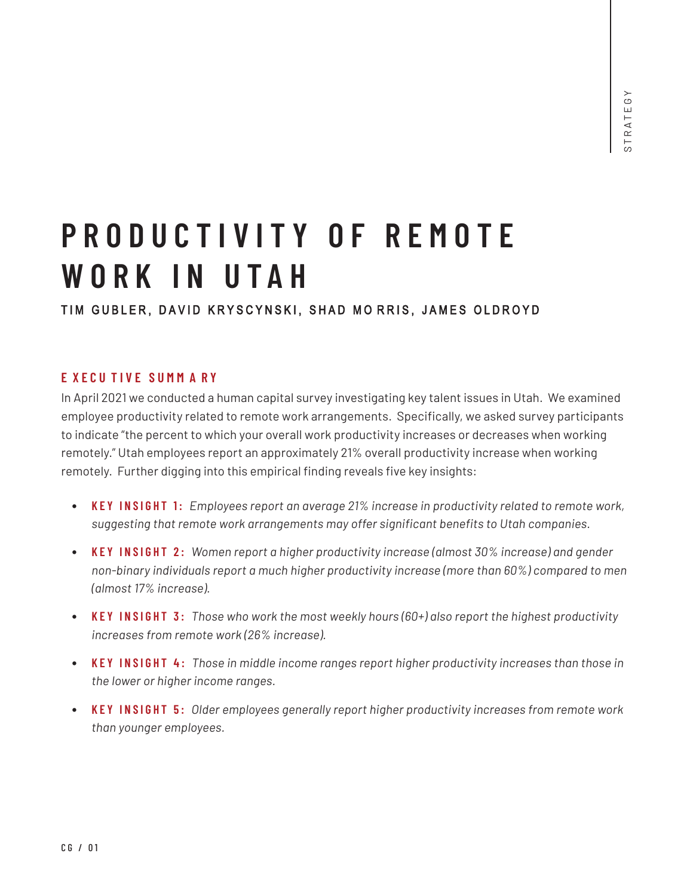# **PRODUCTIVITY OF R E MOTE W ORK I N U T A H**

# TIM GUBLER, DAVID KRYSCYNSKI, SHAD MORRIS, JAMES OLDROYD

# **E XECU TIVE SU M M A R Y**

In April 2021 we conducted a human capital survey investigating key talent issues in Utah. We examined employee productivity related to remote work arrangements. Specifically, we asked survey participants to indicate "the percent to which your overall work productivity increases or decreases when working remotely." Utah employees report an approximately 21% overall productivity increase when working remotely. Further digging into this empirical finding reveals five key insights:

- **KEY INSIGHT 1:** *Employees report an average 21% increase in productivity related to remote work, suggesting that remote work arrangements may offer significant benefits to Utah companies.*
- **KEY INSIGHT 2:** *Women report a higher productivity increase (almost 30% increase) and gender non-binary individuals report a much higher productivity increase (more than 60%) compared to men (almost 17% increase).*
- **KEY INSIGHT 3:** *Those who work the most weekly hours (60+) also report the highest productivity increases from remote work (26% increase).*
- **KEY INSIGHT 4:** *Those in middle income ranges report higher productivity increases than those in the lower or higher income ranges.*
- **KEY INSIGHT 5:** *Older employees generally report higher productivity increases from remote work than younger employees.*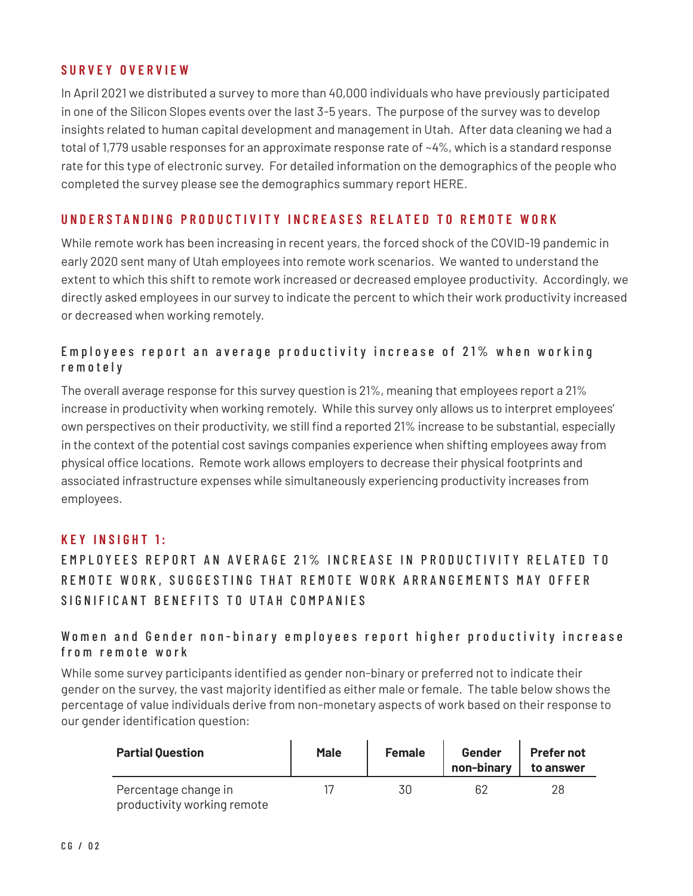#### **SURVEY OVERVIEW**

In April 2021 we distributed a survey to more than 40,000 individuals who have previously participated in one of the Silicon Slopes events over the last 3-5 years. The purpose of the survey was to develop insights related to human capital development and management in Utah. After data cleaning we had a total of 1,779 usable responses for an approximate response rate of ~4%, which is a standard response rate for this type of electronic survey. For detailed information on the demographics of the people who completed the survey please see the demographics summary report HERE.

# **UNDERSTANDING PRODUCTIVITY INCREASES RELATED TO REMOTE WORK**

While remote work has been increasing in recent years, the forced shock of the COVID-19 pandemic in early 2020 sent many of Utah employees into remote work scenarios. We wanted to understand the extent to which this shift to remote work increased or decreased employee productivity. Accordingly, we directly asked employees in our survey to indicate the percent to which their work productivity increased or decreased when working remotely.

# Employees report an average productivity increase of 21% when working r e m o t e l y

The overall average response for this survey question is 21%, meaning that employees report a 21% increase in productivity when working remotely. While this survey only allows us to interpret employees' own perspectives on their productivity, we still find a reported 21% increase to be substantial, especially in the context of the potential cost savings companies experience when shifting employees away from physical office locations. Remote work allows employers to decrease their physical footprints and associated infrastructure expenses while simultaneously experiencing productivity increases from employees.

#### **KEY INSIGHT 1:**

# EMPLOYEES REPORT AN AVERAGE 21% INCREASE IN PRODUCTIVITY RELATED TO REMOTE WORK, SUGGESTING THAT REMOTE WORK ARRANGEMENTS MAY OFFER SIGNIFICANT BENEFITS TO UTAH COMPANIES

#### Women and Gender non-binary employees report higher productivity increase from remote work

While some survey participants identified as gender non-binary or preferred not to indicate their gender on the survey, the vast majority identified as either male or female. The table below shows the percentage of value individuals derive from non-monetary aspects of work based on their response to our gender identification question:

| <b>Partial Question</b>                             | <b>Male</b> | <b>Female</b> | Gender<br>non-binary | <b>Prefer not</b><br>to answer |
|-----------------------------------------------------|-------------|---------------|----------------------|--------------------------------|
| Percentage change in<br>productivity working remote |             |               | 62                   | 28                             |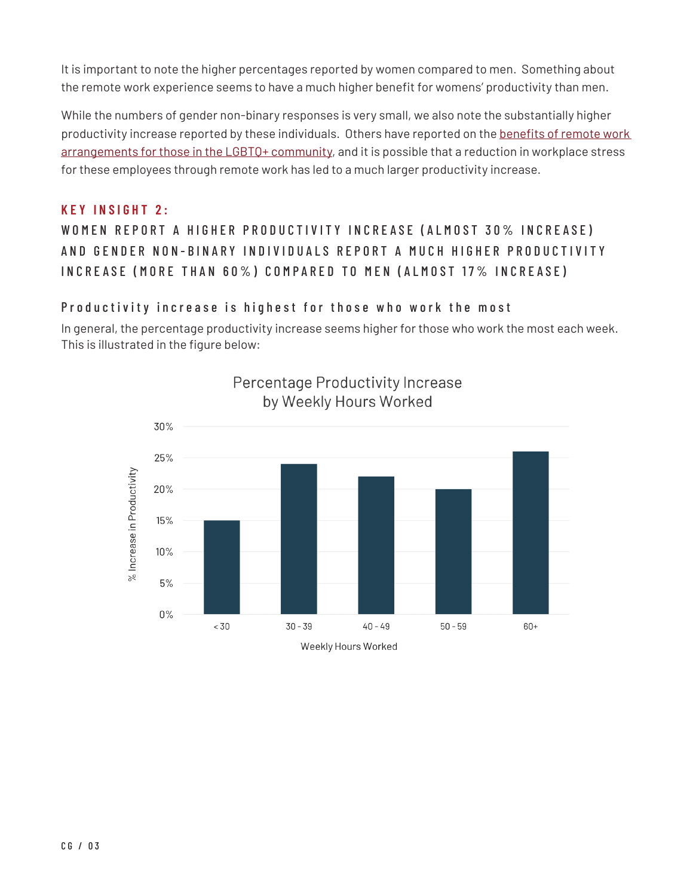It is important to note the higher percentages reported by women compared to men. Something about the remote work experience seems to have a much higher benefit for womens' productivity than men.

While the numbers of gender non-binary responses is very small, we also note the substantially higher productivity increase reported by these individuals. Others have reported on the benefits of remote work arrangements for those in the LGBTQ+ community, and it is possible that a reduction in workplace stress for these employees through remote work has led to a much larger productivity increase.

#### **KEY INSIGHT 2:**

# WOMEN REPORT A HIGHER PRODUCTIVITY INCREASE (ALMOST 30% INCREASE) AND GENDER NON-BINARY INDIVIDUALS REPORT A MUCH HIGHER PRODUCTIVITY INCREASE (MORE THAN 60%) COMPARED TO MEN (ALMOST 17% INCREASE)

# Productivity increase is highest for those who work the most

In general, the percentage productivity increase seems higher for those who work the most each week. This is illustrated in the figure below:

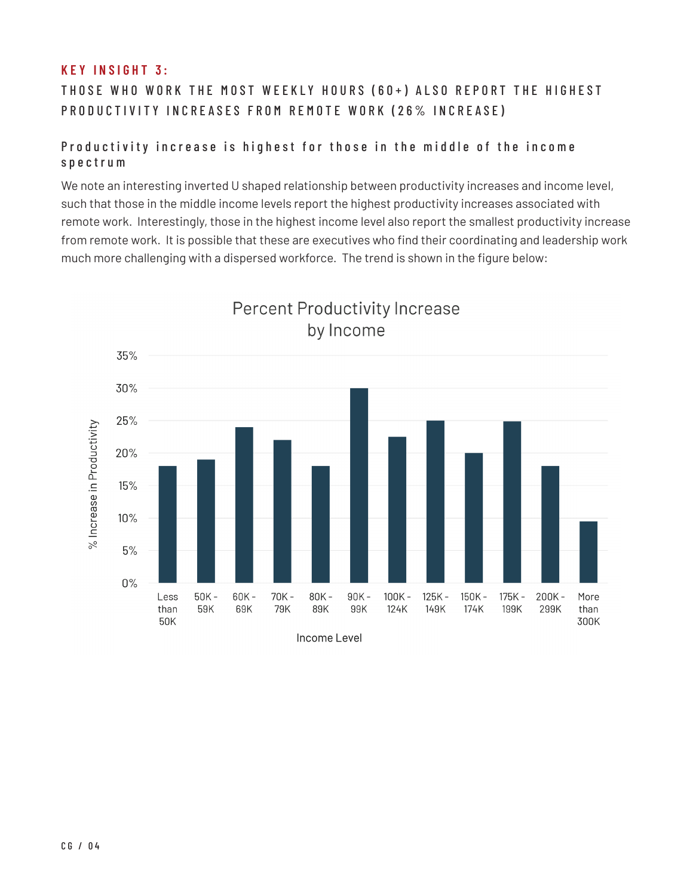# **KEY INSIGHT 3:**

THOSE WHO WORK THE MOST WEEKLY HOURS (60+) ALSO REPORT THE HIGHEST PRODUCTIVITY INCREASES FROM REMOTE WORK (26% INCREASE)

# Productivity increase is highest for those in the middle of the income spectrum

We note an interesting inverted U shaped relationship between productivity increases and income level, such that those in the middle income levels report the highest productivity increases associated with remote work. Interestingly, those in the highest income level also report the smallest productivity increase from remote work. It is possible that these are executives who find their coordinating and leadership work much more challenging with a dispersed workforce. The trend is shown in the figure below:

**Percent Productivity Increase** 



C G / 04